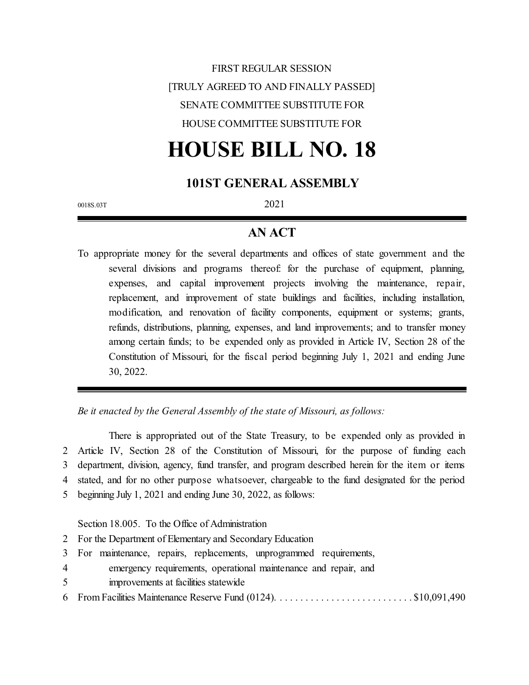# FIRST REGULAR SESSION [TRULY AGREED TO AND FINALLY PASSED] SENATE COMMITTEE SUBSTITUTE FOR HOUSE COMMITTEE SUBSTITUTE FOR

# **HOUSE BILL NO. 18**

# **101ST GENERAL ASSEMBLY**

0018S.03T 2021

### **AN ACT**

To appropriate money for the several departments and offices of state government and the several divisions and programs thereof: for the purchase of equipment, planning, expenses, and capital improvement projects involving the maintenance, repair, replacement, and improvement of state buildings and facilities, including installation, modification, and renovation of facility components, equipment or systems; grants, refunds, distributions, planning, expenses, and land improvements; and to transfer money among certain funds; to be expended only as provided in Article IV, Section 28 of the Constitution of Missouri, for the fiscal period beginning July 1, 2021 and ending June 30, 2022.

*Be it enacted by the General Assembly of the state of Missouri, as follows:*

There is appropriated out of the State Treasury, to be expended only as provided in Article IV, Section 28 of the Constitution of Missouri, for the purpose of funding each department, division, agency, fund transfer, and program described herein for the item or items stated, and for no other purpose whatsoever, chargeable to the fund designated for the period beginning July 1, 2021 and ending June 30, 2022, as follows:

Section 18.005. To the Office of Administration

- 2 For the Department of Elementary and Secondary Education
- 3 For maintenance, repairs, replacements, unprogrammed requirements,
- 4 emergency requirements, operational maintenance and repair, and
- 5 improvements at facilities statewide
- 6 From Facilities Maintenance Reserve Fund (0124). . . . . . . . . . . . . . . . . . . . . . . . . . . \$10,091,490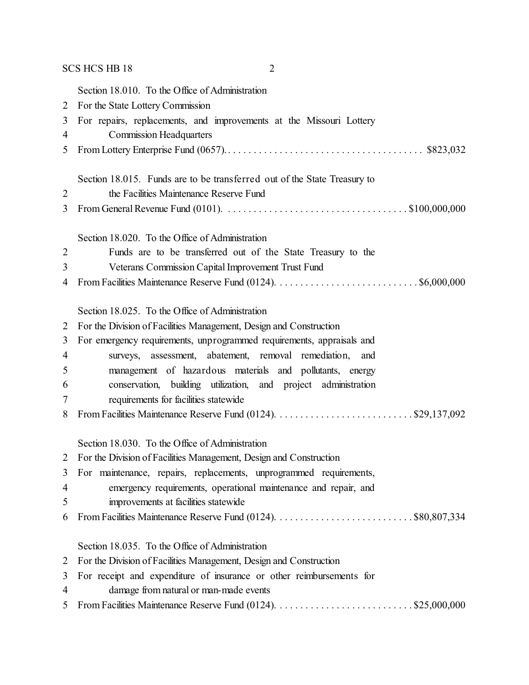# SCS HCS HB 18 2

|                | Section 18.010. To the Office of Administration                                                                                |
|----------------|--------------------------------------------------------------------------------------------------------------------------------|
| $\overline{2}$ | For the State Lottery Commission                                                                                               |
| 3              | For repairs, replacements, and improvements at the Missouri Lottery                                                            |
| 4              | <b>Commission Headquarters</b>                                                                                                 |
| 5              |                                                                                                                                |
|                |                                                                                                                                |
|                | Section 18.015. Funds are to be transferred out of the State Treasury to                                                       |
| $\overline{2}$ | the Facilities Maintenance Reserve Fund                                                                                        |
| 3              | From General Revenue Fund (0101). $\ldots \ldots \ldots \ldots \ldots \ldots \ldots \ldots \ldots \ldots \ldots$ \$100,000,000 |
|                | Section 18.020. To the Office of Administration                                                                                |
| $\overline{2}$ | Funds are to be transferred out of the State Treasury to the                                                                   |
| 3              | Veterans Commission Capital Improvement Trust Fund                                                                             |
| 4              |                                                                                                                                |
|                |                                                                                                                                |
|                | Section 18.025. To the Office of Administration                                                                                |
| $\overline{2}$ | For the Division of Facilities Management, Design and Construction                                                             |
| 3              | For emergency requirements, unprogrammed requirements, appraisals and                                                          |
| $\overline{4}$ | surveys, assessment, abatement, removal remediation,<br>and                                                                    |
| 5              | management of hazardous materials and pollutants, energy                                                                       |
| 6              | conservation, building utilization, and project administration                                                                 |
| 7              | requirements for facilities statewide                                                                                          |
| 8              |                                                                                                                                |
|                |                                                                                                                                |
|                | Section 18.030. To the Office of Administration                                                                                |
| 2              | For the Division of Facilities Management, Design and Construction                                                             |
| 3              | For maintenance, repairs, replacements, unprogrammed requirements,                                                             |
| $\overline{4}$ | emergency requirements, operational maintenance and repair, and                                                                |
| 5              | improvements at facilities statewide                                                                                           |
| 6              |                                                                                                                                |
|                | Section 18.035. To the Office of Administration                                                                                |
| 2              | For the Division of Facilities Management, Design and Construction                                                             |
| 3              | For receipt and expenditure of insurance or other reimbursements for                                                           |
| 4              | damage from natural or man-made events                                                                                         |
| 5              |                                                                                                                                |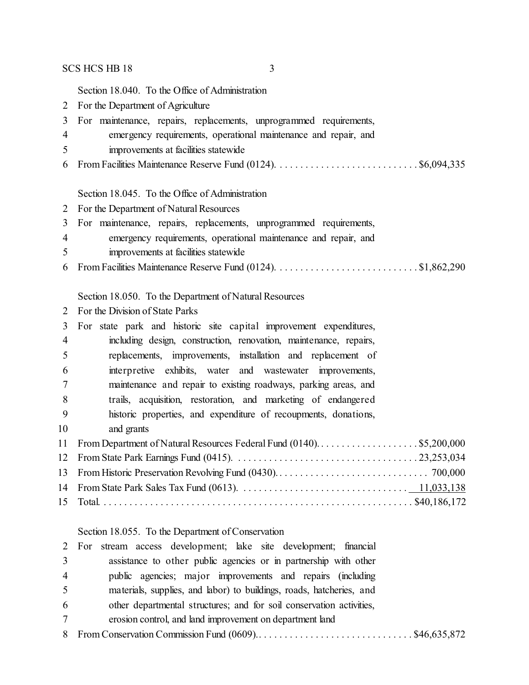#### $SCS HCS HB 18$  3

Section 18.040. To the Office of Administration

- For the Department of Agriculture
- For maintenance, repairs, replacements, unprogrammed requirements,
- emergency requirements, operational maintenance and repair, and
- improvements at facilities statewide
- From Facilities Maintenance Reserve Fund (0124). . . . . . . . . . . . . . . . . . . . . . . . . . . . \$6,094,335

#### Section 18.045. To the Office of Administration

- For the Department of Natural Resources
- For maintenance, repairs, replacements, unprogrammed requirements,
- emergency requirements, operational maintenance and repair, and
- improvements at facilities statewide
- From Facilities Maintenance Reserve Fund (0124). . . . . . . . . . . . . . . . . . . . . . . . . . . . \$1,862,290

#### Section 18.050. To the Department of Natural Resources

For the Division of State Parks

| 3              | For state park and historic site capital improvement expenditures, |
|----------------|--------------------------------------------------------------------|
| $\overline{4}$ | including design, construction, renovation, maintenance, repairs,  |
| 5              | replacements, improvements, installation and replacement of        |
| 6              | interpretive exhibits, water and wastewater improvements,          |
| 7              | maintenance and repair to existing roadways, parking areas, and    |
| 8              | trails, acquisition, restoration, and marketing of endangered      |
| 9              | historic properties, and expenditure of recoupments, donations,    |
| 10             | and grants                                                         |
| 11             |                                                                    |
|                |                                                                    |
|                |                                                                    |
|                |                                                                    |
|                |                                                                    |

#### Section 18.055. To the Department of Conservation

|                | 2 For stream access development; lake site development; financial    |  |
|----------------|----------------------------------------------------------------------|--|
| 3              | assistance to other public agencies or in partnership with other     |  |
| $\overline{4}$ | public agencies; major improvements and repairs (including           |  |
| 5 <sup>5</sup> | materials, supplies, and labor) to buildings, roads, hatcheries, and |  |
| 6              | other departmental structures; and for soil conservation activities, |  |
| $\tau$         | erosion control, and land improvement on department land             |  |
|                |                                                                      |  |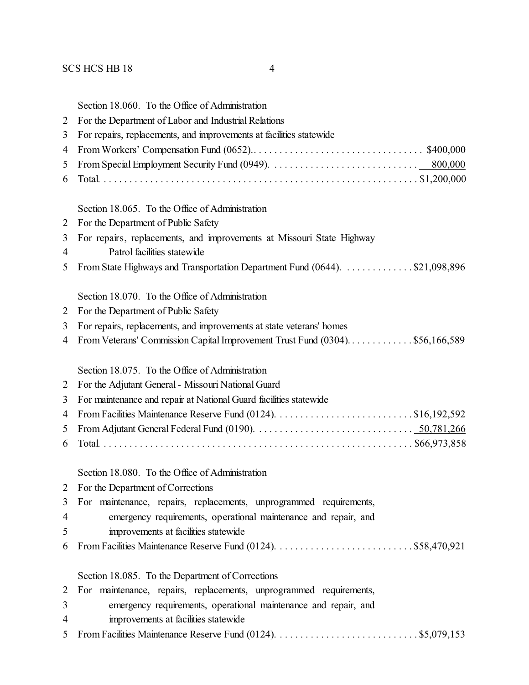| 2      | Section 18.060. To the Office of Administration<br>For the Department of Labor and Industrial Relations                       |
|--------|-------------------------------------------------------------------------------------------------------------------------------|
| 3      | For repairs, replacements, and improvements at facilities statewide                                                           |
| 4      |                                                                                                                               |
| 5      |                                                                                                                               |
| 6      |                                                                                                                               |
|        | Section 18.065. To the Office of Administration                                                                               |
| 2      | For the Department of Public Safety                                                                                           |
| 3<br>4 | For repairs, replacements, and improvements at Missouri State Highway<br>Patrol facilities statewide                          |
| 5      | From State Highways and Transportation Department Fund (0644). \$21,098,896                                                   |
|        | Section 18.070. To the Office of Administration                                                                               |
| 2      | For the Department of Public Safety                                                                                           |
| 3      | For repairs, replacements, and improvements at state veterans' homes                                                          |
| 4      | From Veterans' Commission Capital Improvement Trust Fund (0304). \$56,166,589                                                 |
|        | Section 18.075. To the Office of Administration                                                                               |
| 2      | For the Adjutant General - Missouri National Guard                                                                            |
| 3      | For maintenance and repair at National Guard facilities statewide                                                             |
| 4      |                                                                                                                               |
| 5      | From Adjutant General Federal Fund (0190). $\ldots \ldots \ldots \ldots \ldots \ldots \ldots \ldots \ldots \ldots 50,781,266$ |
| 6      |                                                                                                                               |
|        | Section 18.080. To the Office of Administration                                                                               |
| 2      | For the Department of Corrections                                                                                             |
| 3      | For maintenance, repairs, replacements, unprogrammed requirements,                                                            |
| 4      | emergency requirements, operational maintenance and repair, and                                                               |
| 5      | improvements at facilities statewide                                                                                          |
| 6      |                                                                                                                               |
|        | Section 18.085. To the Department of Corrections                                                                              |
| 2      | For maintenance, repairs, replacements, unprogrammed requirements,                                                            |
| 3      | emergency requirements, operational maintenance and repair, and                                                               |

- improvements at facilities statewide
- From Facilities Maintenance Reserve Fund (0124). . . . . . . . . . . . . . . . . . . . . . . . . . . . \$5,079,153